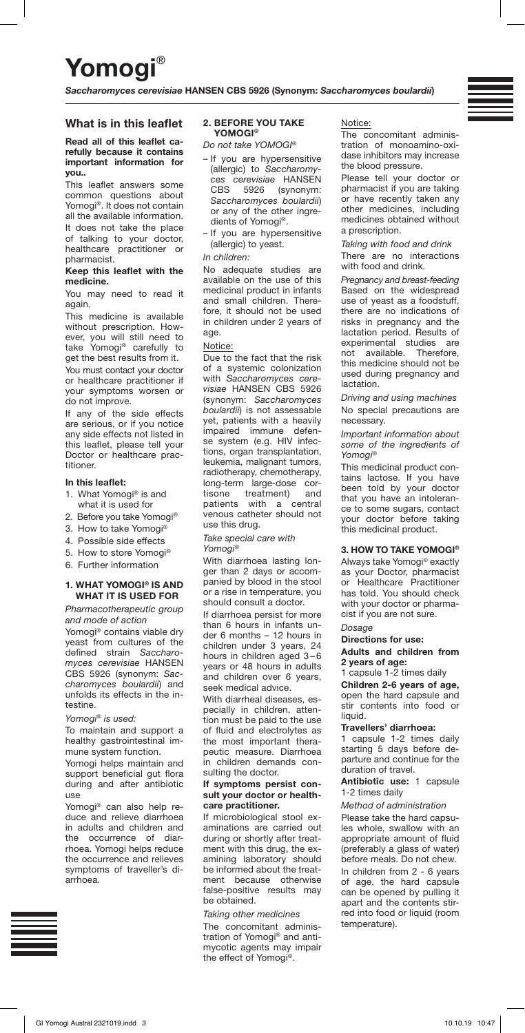# Yomogi

*Saccharomyces cerevisiae* HANSEN CBS 5926 (Synonym: *Saccharomyces boulardii*)

# What is in this leaflet

## Read all of this leaflet carefully because it contains important information for you..

This leaflet answers some common questions about Yomogi®. It does not contain all the available information. It does not take the place of talking to your doctor, healthcare practitioner or pharmacist.

#### Keep this leaflet with the medicine.

You may need to read it again.

This medicine is available without prescription. However, you will still need to take Yomogi® carefully to get the best results from it.

You must contact your doctor or healthcare practitioner if your symptoms worsen or do not improve.

If any of the side effects are serious, or if you notice any side effects not listed in this leaflet, please tell your Doctor or healthcare practitioner.

### In this leaflet:

- 1. What Yomogi® is and what it is used for
- 2. Before you take Yomogi®
- 3. How to take Yomogi®
- 4. Possible side effects
- 5. How to store Yomogi®
- 6. Further information

## 1. WHAT YOMOGI® IS AND WHAT IT IS USED FOR

*Pharmacotherapeutic group and mode of action*

Yomogi® contains viable dry yeast from cultures of the defined strain *Saccharomyces cerevisiae* HANSEN CBS 5926 (synonym: *Saccharomyces boulardii*) and unfolds its effects in the intestine.

#### *Yomogi® is used:*

To maintain and support a healthy gastrointestinal immune system function.

Yomogi helps maintain and support beneficial gut flora during and after antibiotic use

Yomogi® can also help reduce and relieve diarrhoea in adults and children and the occurrence of diarrhoea. Yomogi helps reduce the occurrence and relieves symptoms of traveller's diarrhoea.

#### 2. BEFORE YOU TAKE YOMOGI®

*Do not take YOMOGI®*

– If you are hypersensitive (allergic) to *Saccharomyces cerevisiae* HANSEN CBS 5926 (synonym: *Saccharomyces boulardii*) or any of the other ingredients of Yomogi®.

– If you are hypersensitive (allergic) to yeast.

# *In children:*

No adequate studies are available on the use of this medicinal product in infants and small children. Therefore, it should not be used in children under 2 years of age.

# Notice:

Due to the fact that the risk of a systemic colonization with *Saccharomyces cerevisiae* HANSEN CBS 5926 (synonym: *Saccharomyces boulardii*) is not assessable yet, patients with a heavily<br>impaired immune defenimpaired immune se system (e.g. HIV infections, organ transplantation, leukemia, malignant tumors, radiotherapy, chemotherapy, long-term large-dose cortisone treatment) and patients with a central venous catheter should not use this drug.

*Take special care with Yomogi®*

With diarrhoea lasting longer than 2 days or accompanied by blood in the stool or a rise in temperature, you should consult a doctor.

If diarrhoea persist for more than 6 hours in infants under 6 months – 12 hours in children under 3 years, 24 hours in children aged 3-6 years or 48 hours in adults and children over 6 years, seek medical advice.

With diarrheal diseases, especially in children, attention must be paid to the use of fluid and electrolytes as the most important therapeutic measure. Diarrhoea in children demands consulting the doctor.

#### If symptoms persist consult your doctor or healthcare practitioner.

If microbiological stool examinations are carried out during or shortly after treatment with this drug, the examining laboratory should be informed about the treatment because otherwise false-positive results may be obtained.

*Taking other medicines* The concomitant administration of Yomogi® and antimycotic agents may impair the effect of Yomogi®.

## Notice:

The concomitant administration of monoamino-oxidase inhibitors may increase the blood pressure.

Please tell your doctor or pharmacist if you are taking or have recently taken any other medicines, including medicines obtained without a prescription.

*Taking with food and drink* There are no interactions with food and drink.

*Pregnancy and breast-feeding* Based on the widespread use of yeast as a foodstuff, there are no indications of risks in pregnancy and the lactation period. Results of experimental studies are<br>not available Therefore not available. Therefore, this medicine should not be used during pregnancy and lactation.

*Driving and using machines* No special precautions are necessary.

*Important information about some of the ingredients of Yomogi®*

This medicinal product contains lactose. If you have been told by your doctor that you have an intolerance to some sugars, contact your doctor before taking this medicinal product.

## 3. HOW TO TAKE YOMOGI®

Always take Yomogi® exactly as your Doctor, pharmacist or Healthcare Practitioner has told. You should check with your doctor or pharmacist if you are not sure.

# *Dosage*

# Directions for use:

Adults and children from 2 years of age:

1 capsule 1-2 times daily

Children 2-6 years of age, open the hard capsule and stir contents into food or liquid.

#### Travellers' diarrhoea:

1 capsule 1-2 times daily starting 5 days before departure and continue for the duration of travel.

Antibiotic use: 1 capsule 1-2 times daily

## *Method of administration*

Please take the hard capsules whole, swallow with an appropriate amount of fluid (preferably a glass of water) before meals. Do not chew. In children from 2 - 6 years of age, the hard capsule can be opened by pulling it apart and the contents stirred into food or liquid (room temperature).